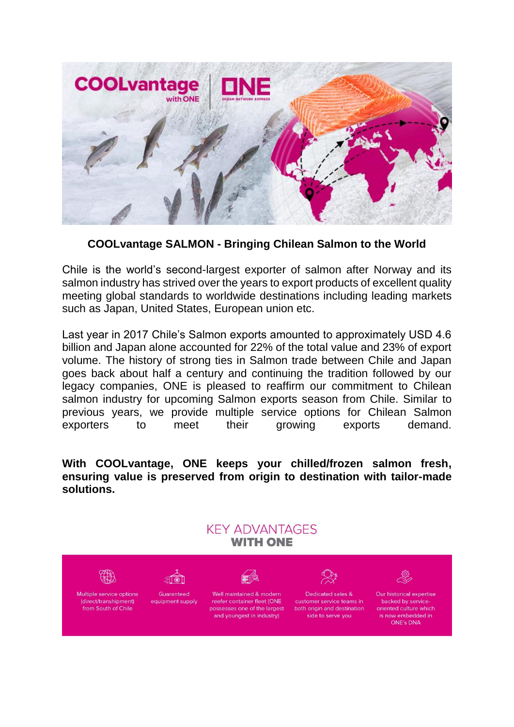

## **COOLvantage SALMON - Bringing Chilean Salmon to the World**

Chile is the world's second-largest exporter of salmon after Norway and its salmon industry has strived over the years to export products of excellent quality meeting global standards to worldwide destinations including leading markets such as Japan, United States, European union etc.

Last year in 2017 Chile's Salmon exports amounted to approximately USD 4.6 billion and Japan alone accounted for 22% of the total value and 23% of export volume. The history of strong ties in Salmon trade between Chile and Japan goes back about half a century and continuing the tradition followed by our legacy companies, ONE is pleased to reaffirm our commitment to Chilean salmon industry for upcoming Salmon exports season from Chile. Similar to previous years, we provide multiple service options for Chilean Salmon exporters to meet their growing exports demand.

**With COOLvantage, ONE keeps your chilled/frozen salmon fresh, ensuring value is preserved from origin to destination with tailor-made solutions.** 

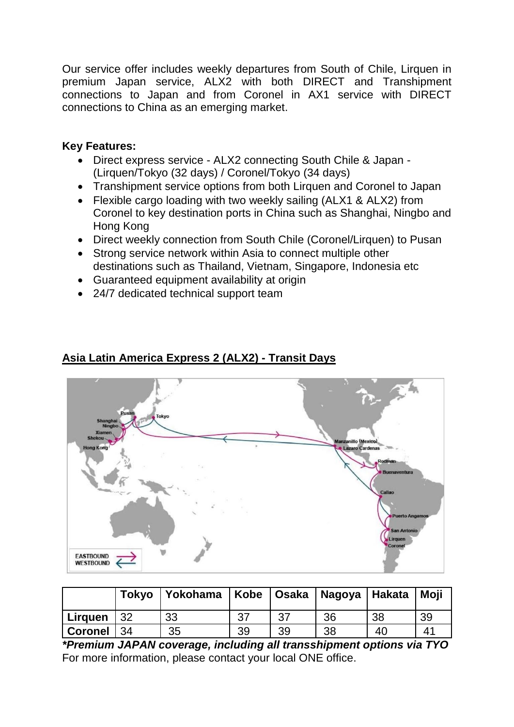Our service offer includes weekly departures from South of Chile, Lirquen in premium Japan service, ALX2 with both DIRECT and Transhipment connections to Japan and from Coronel in AX1 service with DIRECT connections to China as an emerging market.

## **Key Features:**

- Direct express service ALX2 connecting South Chile & Japan (Lirquen/Tokyo (32 days) / Coronel/Tokyo (34 days)
- Transhipment service options from both Lirquen and Coronel to Japan
- Flexible cargo loading with two weekly sailing (ALX1 & ALX2) from Coronel to key destination ports in China such as Shanghai, Ningbo and Hong Kong
- Direct weekly connection from South Chile (Coronel/Lirquen) to Pusan
- Strong service network within Asia to connect multiple other destinations such as Thailand, Vietnam, Singapore, Indonesia etc
- Guaranteed equipment availability at origin
- 24/7 dedicated technical support team



# **Asia Latin America Express 2 (ALX2) - Transit Days**

|                |     | Tokyo Yokohama |    |    | Kobe   Osaka   Nagoya   Hakata |    | Moji                  |
|----------------|-----|----------------|----|----|--------------------------------|----|-----------------------|
| Lirguen        | 32  | 33             | 37 | 37 | 36                             | 38 | 39                    |
| <b>Coronel</b> | -34 | 35             | 39 | 39 | 38                             | 40 | $\mathbf{4}^{\prime}$ |

*\*Premium JAPAN coverage, including all transshipment options via TYO* For more information, please contact your local ONE office.